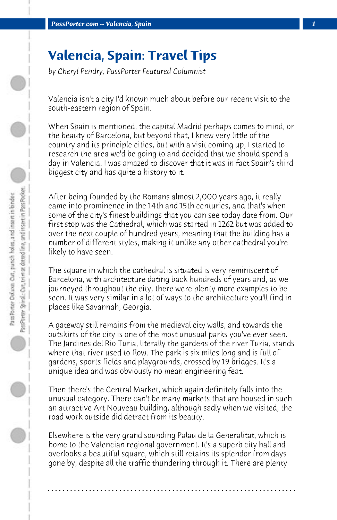## **Valencia, Spain: Travel Tips**

*by Cheryl Pendry, PassPorter Featured Columnist*

Valencia isn't a city I'd known much about before our recent visit to the south-eastern region of Spain.

When Spain is mentioned, the capital Madrid perhaps comes to mind, or the beauty of Barcelona, but beyond that, I knew very little of the country and its principle cities, but with a visit coming up, I started to research the area we'd be going to and decided that we should spend a day in Valencia. I was amazed to discover that it was in fact Spain's third biggest city and has quite a history to it.

After being founded by the Romans almost 2,000 years ago, it really came into prominence in the 14th and 15th centuries, and that's when some of the city's finest buildings that you can see today date from. Our first stop was the Cathedral, which was started in 1262 but was added to over the next couple of hundred years, meaning that the building has a number of different styles, making it unlike any other cathedral you're likely to have seen.

The square in which the cathedral is situated is very reminiscent of Barcelona, with architecture dating back hundreds of years and, as we journeyed throughout the city, there were plenty more examples to be seen. It was very similar in a lot of ways to the architecture you'll find in places like Savannah, Georgia.

A gateway still remains from the medieval city walls, and towards the outskirts of the city is one of the most unusual parks you've ever seen. The Jardines del Rio Turia, literally the gardens of the river Turia, stands where that river used to flow. The park is six miles long and is full of gardens, sports fields and playgrounds, crossed by 19 bridges. It's a unique idea and was obviously no mean engineering feat.

Then there's the Central Market, which again definitely falls into the unusual category. There can't be many markets that are housed in such an attractive Art Nouveau building, although sadly when we visited, the road work outside did detract from its beauty.

Elsewhere is the very grand sounding Palau de la Generalitat, which is home to the Valencian regional government. It's a superb city hall and overlooks a beautiful square, which still retains its splendor from days gone by, despite all the traffic thundering through it. There are plenty

**. . . . . . . . . . . . . . . . . . . . . . . . . . . . . . . . . . . . . . . . . . . . . . . . . . . . . . . . . . . . . . . . . .**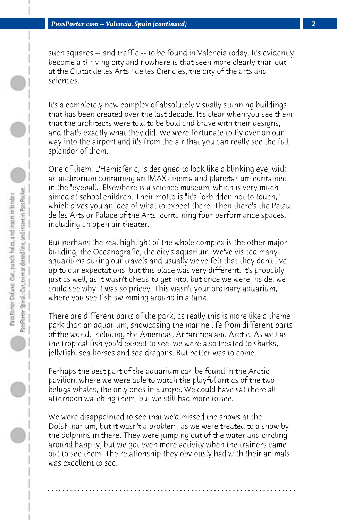such squares -- and traffic -- to be found in Valencia today. It's evidently become a thriving city and nowhere is that seen more clearly than out at the Ciutat de les Arts I de les Ciencies, the city of the arts and sciences.

It's a completely new complex of absolutely visually stunning buildings that has been created over the last decade. It's clear when you see them that the architects were told to be bold and brave with their designs, and that's exactly what they did. We were fortunate to fly over on our way into the airport and it's from the air that you can really see the full splendor of them.

One of them, L'Hemisferic, is designed to look like a blinking eye, with an auditorium containing an IMAX cinema and planetarium contained in the "eyeball." Elsewhere is a science museum, which is very much aimed at school children. Their motto is "it's forbidden not to touch," which gives you an idea of what to expect there. Then there's the Palau de les Arts or Palace of the Arts, containing four performance spaces, including an open air theater.

But perhaps the real highlight of the whole complex is the other major building, the Oceanografic, the city's aquarium. We've visited many aquariums during our travels and usually we've felt that they don't live up to our expectations, but this place was very different. It's probably just as well, as it wasn't cheap to get into, but once we were inside, we could see why it was so pricey. This wasn't your ordinary aquarium, where you see fish swimming around in a tank.

There are different parts of the park, as really this is more like a theme park than an aquarium, showcasing the marine life from different parts of the world, including the Americas, Antarctica and Arctic. As well as the tropical fish you'd expect to see, we were also treated to sharks, jellyfish, sea horses and sea dragons. But better was to come.

Perhaps the best part of the aquarium can be found in the Arctic pavilion, where we were able to watch the playful antics of the two beluga whales, the only ones in Europe. We could have sat there all afternoon watching them, but we still had more to see.

We were disappointed to see that we'd missed the shows at the Dolphinarium, but it wasn't a problem, as we were treated to a show by the dolphins in there. They were jumping out of the water and circling around happily, but we got even more activity when the trainers came out to see them. The relationship they obviously had with their animals was excellent to see.

**. . . . . . . . . . . . . . . . . . . . . . . . . . . . . . . . . . . . . . . . . . . . . . . . . . . . . . . . . . . . . . . . . .**